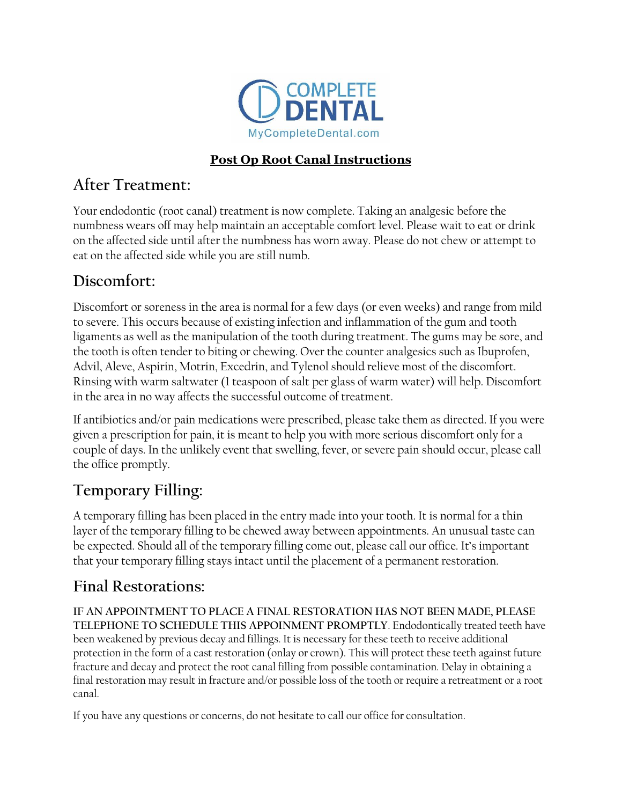

#### **Post Op Root Canal Instructions**

### **After Treatment:**

Your endodontic (root canal) treatment is now complete. Taking an analgesic before the numbness wears off may help maintain an acceptable comfort level. Please wait to eat or drink on the affected side until after the numbness has worn away. Please do not chew or attempt to eat on the affected side while you are still numb.

## **Discomfort:**

Discomfort or soreness in the area is normal for a few days (or even weeks) and range from mild to severe. This occurs because of existing infection and inflammation of the gum and tooth ligaments as well as the manipulation of the tooth during treatment. The gums may be sore, and the tooth is often tender to biting or chewing. Over the counter analgesics such as Ibuprofen, Advil, Aleve, Aspirin, Motrin, Excedrin, and Tylenol should relieve most of the discomfort. Rinsing with warm saltwater (1 teaspoon of salt per glass of warm water) will help. Discomfort in the area in no way affects the successful outcome of treatment.

If antibiotics and/or pain medications were prescribed, please take them as directed. If you were given a prescription for pain, it is meant to help you with more serious discomfort only for a couple of days. In the unlikely event that swelling, fever, or severe pain should occur, please call the office promptly.

# **Temporary Filling:**

A temporary filling has been placed in the entry made into your tooth. It is normal for a thin layer of the temporary filling to be chewed away between appointments. An unusual taste can be expected. Should all of the temporary filling come out, please call our office. It's important that your temporary filling stays intact until the placement of a permanent restoration.

#### **Final Restorations:**

**IF AN APPOINTMENT TO PLACE A FINAL RESTORATION HAS NOT BEEN MADE, PLEASE TELEPHONE TO SCHEDULE THIS APPOINMENT PROMPTLY**. Endodontically treated teeth have been weakened by previous decay and fillings. It is necessary for these teeth to receive additional protection in the form of a cast restoration (onlay or crown). This will protect these teeth against future fracture and decay and protect the root canal filling from possible contamination. Delay in obtaining a final restoration may result in fracture and/or possible loss of the tooth or require a retreatment or a root canal.

If you have any questions or concerns, do not hesitate to call our office for consultation.